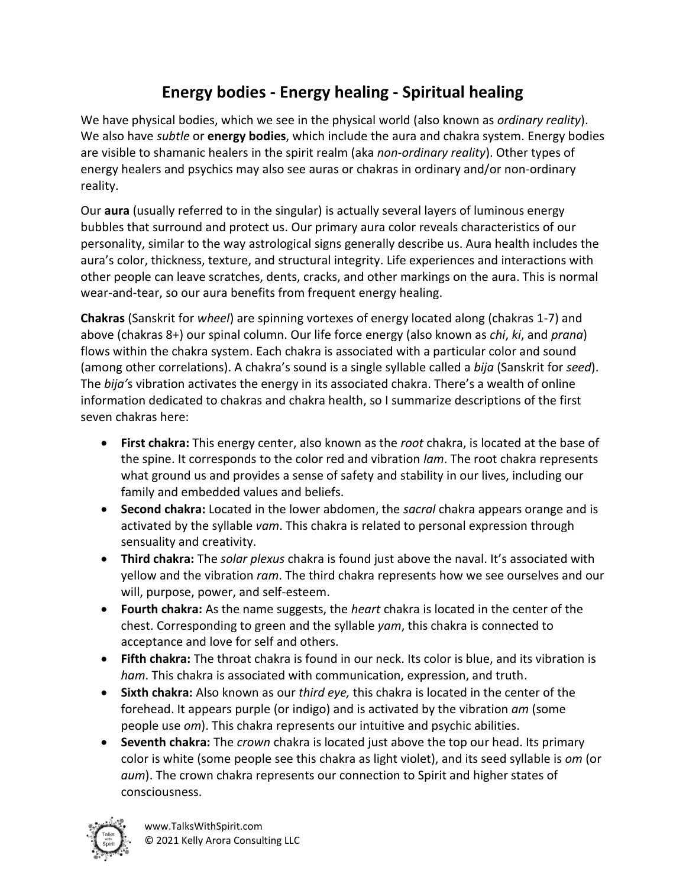## **Energy bodies - Energy healing - Spiritual healing**

We have physical bodies, which we see in the physical world (also known as *ordinary reality*). We also have *subtle* or **energy bodies**, which include the aura and chakra system. Energy bodies are visible to shamanic healers in the spirit realm (aka *non-ordinary reality*). Other types of energy healers and psychics may also see auras or chakras in ordinary and/or non-ordinary reality.

Our **aura** (usually referred to in the singular) is actually several layers of luminous energy bubbles that surround and protect us. Our primary aura color reveals characteristics of our personality, similar to the way astrological signs generally describe us. Aura health includes the aura's color, thickness, texture, and structural integrity. Life experiences and interactions with other people can leave scratches, dents, cracks, and other markings on the aura. This is normal wear-and-tear, so our aura benefits from frequent energy healing.

**Chakras** (Sanskrit for *wheel*) are spinning vortexes of energy located along (chakras 1-7) and above (chakras 8+) our spinal column. Our life force energy (also known as *chi*, *ki*, and *prana*) flows within the chakra system. Each chakra is associated with a particular color and sound (among other correlations). A chakra's sound is a single syllable called a *bija* (Sanskrit for *seed*). The *bija'*s vibration activates the energy in its associated chakra. There's a wealth of online information dedicated to chakras and chakra health, so I summarize descriptions of the first seven chakras here:

- **First chakra:** This energy center, also known as the *root* chakra, is located at the base of the spine. It corresponds to the color red and vibration *lam*. The root chakra represents what ground us and provides a sense of safety and stability in our lives, including our family and embedded values and beliefs.
- **Second chakra:** Located in the lower abdomen, the *sacral* chakra appears orange and is activated by the syllable *vam*. This chakra is related to personal expression through sensuality and creativity.
- **Third chakra:** The *solar plexus* chakra is found just above the naval. It's associated with yellow and the vibration *ram*. The third chakra represents how we see ourselves and our will, purpose, power, and self-esteem.
- **Fourth chakra:** As the name suggests, the *heart* chakra is located in the center of the chest. Corresponding to green and the syllable *yam*, this chakra is connected to acceptance and love for self and others.
- **Fifth chakra:** The throat chakra is found in our neck. Its color is blue, and its vibration is *ham*. This chakra is associated with communication, expression, and truth.
- **Sixth chakra:** Also known as our *third eye,* this chakra is located in the center of the forehead. It appears purple (or indigo) and is activated by the vibration *am* (some people use *om*). This chakra represents our intuitive and psychic abilities.
- **Seventh chakra:** The *crown* chakra is located just above the top our head. Its primary color is white (some people see this chakra as light violet), and its seed syllable is *om* (or *aum*). The crown chakra represents our connection to Spirit and higher states of consciousness.